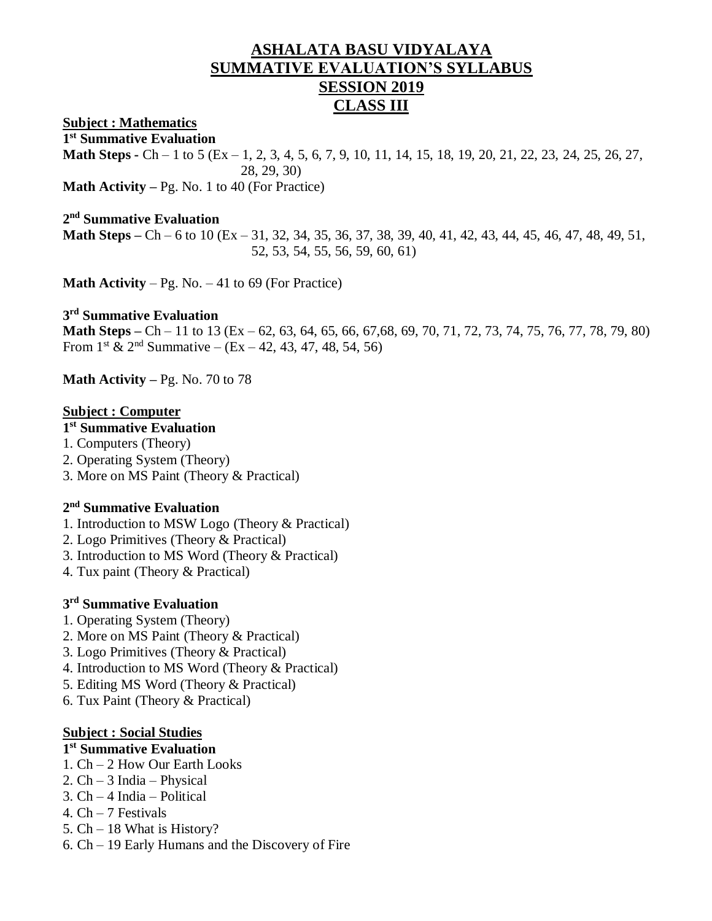# **ASHALATA BASU VIDYALAYA SUMMATIVE EVALUATION'S SYLLABUS SESSION 2019 CLASS III**

**Subject : Mathematics**

**1 st Summative Evaluation Math Steps -** Ch – 1 to 5 (Ex – 1, 2, 3, 4, 5, 6, 7, 9, 10, 11, 14, 15, 18, 19, 20, 21, 22, 23, 24, 25, 26, 27, 28, 29, 30) **Math Activity –** Pg. No. 1 to 40 (For Practice)

### **2 nd Summative Evaluation**

**Math Steps –** Ch – 6 to 10 (Ex – 31, 32, 34, 35, 36, 37, 38, 39, 40, 41, 42, 43, 44, 45, 46, 47, 48, 49, 51, 52, 53, 54, 55, 56, 59, 60, 61)

**Math Activity** – Pg. No.  $-41$  to 69 (For Practice)

#### **3 rd Summative Evaluation**

**Math Steps** – Ch – 11 to 13 (Ex – 62, 63, 64, 65, 66, 67, 68, 69, 70, 71, 72, 73, 74, 75, 76, 77, 78, 79, 80) From 1st  $\&$  2<sup>nd</sup> Summative – (Ex – 42, 43, 47, 48, 54, 56)

**Math Activity –** Pg. No. 70 to 78

### **Subject : Computer**

## **1 st Summative Evaluation**

- 1. Computers (Theory)
- 2. Operating System (Theory)
- 3. More on MS Paint (Theory & Practical)

#### **2 nd Summative Evaluation**

- 1. Introduction to MSW Logo (Theory & Practical)
- 2. Logo Primitives (Theory & Practical)
- 3. Introduction to MS Word (Theory & Practical)
- 4. Tux paint (Theory & Practical)

#### **3 rd Summative Evaluation**

- 1. Operating System (Theory)
- 2. More on MS Paint (Theory & Practical)
- 3. Logo Primitives (Theory & Practical)
- 4. Introduction to MS Word (Theory & Practical)
- 5. Editing MS Word (Theory & Practical)
- 6. Tux Paint (Theory & Practical)

#### **Subject : Social Studies**

### **1 st Summative Evaluation**

- 1. Ch 2 How Our Earth Looks
- 2. Ch 3 India Physical
- 3. Ch 4 India Political
- 4. Ch 7 Festivals
- 5. Ch 18 What is History?
- 6. Ch 19 Early Humans and the Discovery of Fire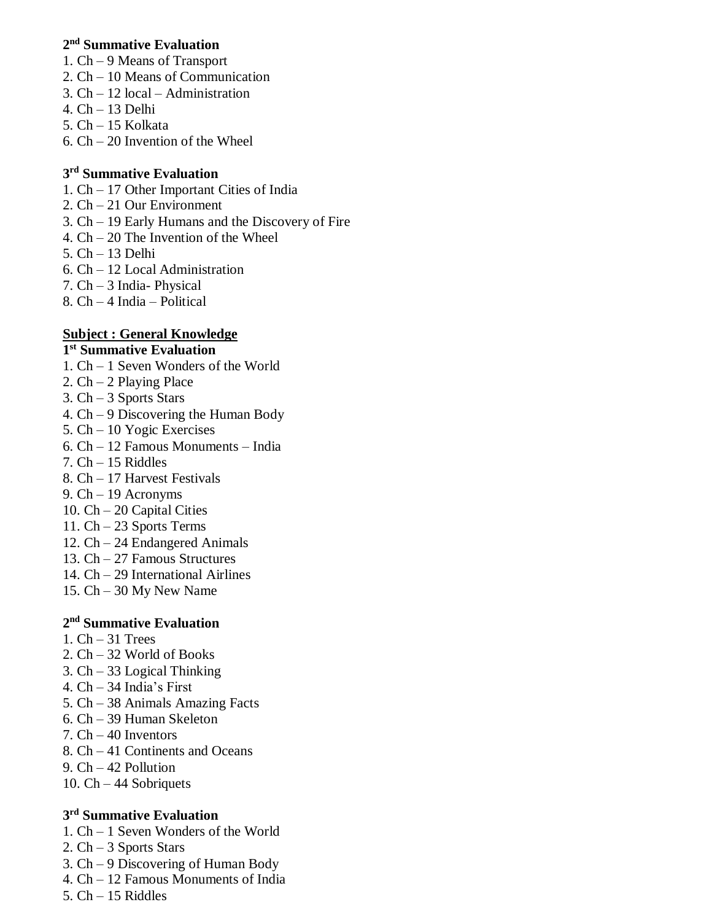### **2 nd Summative Evaluation**

- 1. Ch 9 Means of Transport
- 2. Ch 10 Means of Communication
- 3. Ch 12 local Administration
- 4. Ch 13 Delhi
- 5. Ch 15 Kolkata
- 6.  $Ch 20$  Invention of the Wheel

### **3 rd Summative Evaluation**

- 1. Ch 17 Other Important Cities of India
- 2. Ch 21 Our Environment
- 3. Ch 19 Early Humans and the Discovery of Fire
- 4. Ch 20 The Invention of the Wheel
- 5. Ch 13 Delhi
- 6. Ch 12 Local Administration
- 7. Ch 3 India- Physical
- 8. Ch 4 India Political

## **Subject : General Knowledge**

### **1 st Summative Evaluation**

- 1. Ch 1 Seven Wonders of the World
- 2. Ch 2 Playing Place
- 3. Ch 3 Sports Stars
- 4. Ch 9 Discovering the Human Body
- 5. Ch 10 Yogic Exercises
- 6. Ch 12 Famous Monuments India
- $7.$  Ch  $-15$  Riddles
- 8. Ch 17 Harvest Festivals
- 9. Ch 19 Acronyms
- 10. Ch 20 Capital Cities
- 11. Ch 23 Sports Terms
- 12. Ch 24 Endangered Animals
- 13. Ch 27 Famous Structures
- 14. Ch 29 International Airlines
- 15. Ch 30 My New Name

## **2 nd Summative Evaluation**

- 1. Ch 31 Trees
- 2. Ch 32 World of Books
- 3. Ch 33 Logical Thinking
- 4. Ch 34 India's First
- 5. Ch 38 Animals Amazing Facts
- 6. Ch 39 Human Skeleton
- 7. Ch 40 Inventors
- 8. Ch 41 Continents and Oceans
- 9. Ch 42 Pollution
- 10. Ch 44 Sobriquets

## **3 rd Summative Evaluation**

- 1. Ch 1 Seven Wonders of the World
- 2. Ch 3 Sports Stars
- 3. Ch 9 Discovering of Human Body
- 4. Ch 12 Famous Monuments of India
- 5. Ch 15 Riddles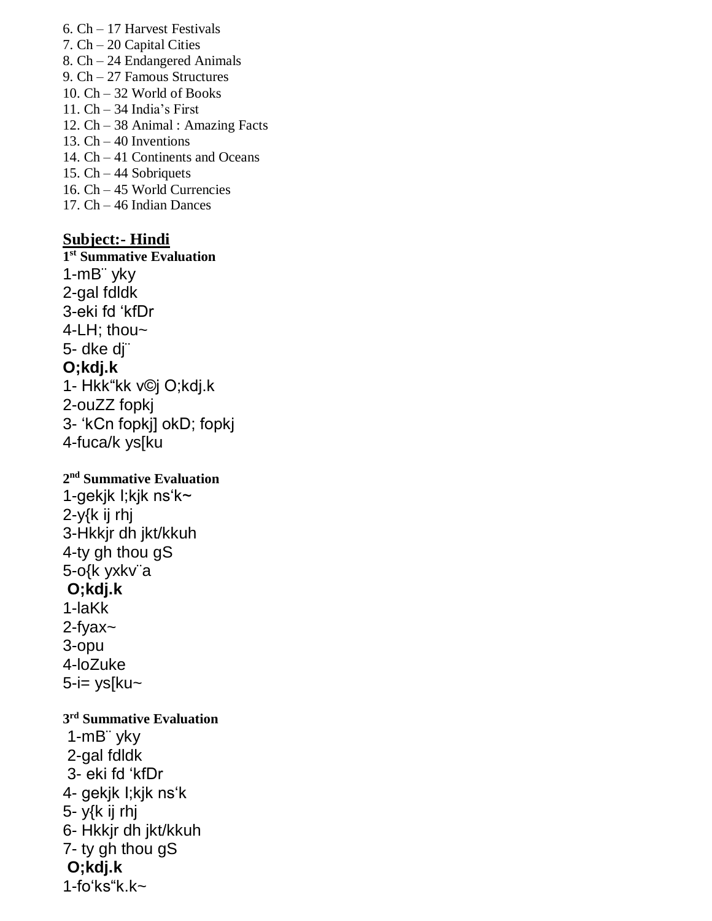- 6. Ch 17 Harvest Festivals
- 7. Ch 20 Capital Cities
- 8. Ch 24 Endangered Animals
- 9. Ch 27 Famous Structures
- 10. Ch 32 World of Books
- 11. Ch 34 India's First
- 12. Ch 38 Animal : Amazing Facts
- 13. Ch 40 Inventions
- 14. Ch 41 Continents and Oceans
- 15. Ch 44 Sobriquets
- 16. Ch 45 World Currencies
- 17. Ch 46 Indian Dances

## **Subject:- Hindi**

**1 st Summative Evaluation**  1-mB¨ yky 2-gal fdldk 3-eki fd 'kfDr 4-LH; thou $\sim$ 5- dke dj¨ **O;kdj.k**  1- Hkk"kk v©j O;kdj.k 2-ouZZ fopkj 3- 'kCn fopkj] okD; fopkj 4-fuca/k ys[ku

## **2 nd Summative Evaluation**

1-gekjk I;kjk ns'k~ 2-y{k ij rhj 3-Hkkjr dh jkt/kkuh 4-ty gh thou gS 5-o{k yxkv¨a **O;kdj.k**  1-laKk 2-fyax~ 3-opu 4-loZuke  $5-i=$  ys[ku~

**3 rd Summative Evaluation**  1-mB¨ yky 2-gal fdldk 3- eki fd 'kfDr 4- gekjk I;kjk ns'k 5- y{k ij rhj 6- Hkkjr dh jkt/kkuh 7- ty gh thou gS **O;kdj.k** 1-fo $k$ s"k.k $\sim$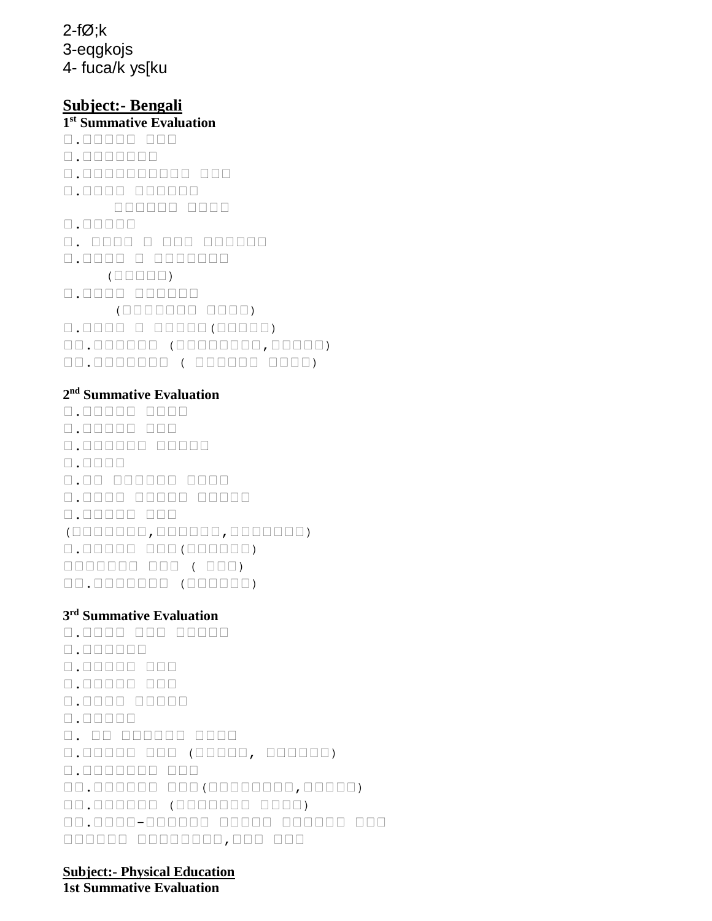2-fØ;k 3-eqgkojs 4- fuca/k ys[ku

## **Subject:- Bengali**

## **st Summative Evaluation**

.১১১১১ ১১১ .১১১১১১১ .১১১১১১১১১১ ১১১ .১১১১ ১১১১১১ ১১১১ .১১১১১ . ১১১১ ১ ১১১ ১১১১১১ .১১১১ ১ ১১১১১১১  $($  $\Box$  $\Box$  $\Box$  $\Box$  $)$ .১১১১ ১১১১১১ (১১১১১১১ ১১১১) .১১১১ ১ ১১১১১(১১১১১) .১১১১১১ (১১১১১১১১,১১১১১) .১১১১১১১ ( ১১১১১১ ১১১১)

### **nd Summative Evaluation**

.১১১১১ ১১১১ .১১১১১ ১১১ .১১১১১১ ১১১১১ .১১১১ .১১ ১১১১১১ ১১১১ .১১১১ ১১১১১ ১১১১১ .১১১১১ ১১১ (১১১১১১১,১১১১১১,১১১১১১১) .১১১১১ ১১১(১১১১১১) ১১১ ( ১১১) .১১১১১১১ (১১১১১১)

### **rd Summative Evaluation**

.১১১১ ১১১ ১১১১১ .১১১১১১ .১১১১১ ১১১ .১১১১১ ১১১ .১১১১ ১১১১১ .১১১১১ . ১১ ১১১১১১ ১১১১ .১১১১১ ১১১ (১১১১১, ১১১১১১) .১১১১১১১ ১১১ .১১১১১১ ১১১(১১১১১১১১,১১১১১) .১১১১১১ (১১১১১১১ ১১১১) .১১১১-১১১১১১ ১১১১১ ১১১১১১ ১১১ ১১১১১১১১,১১১ ১১১

#### **Subject:- Physical Education 1st Summative Evaluation**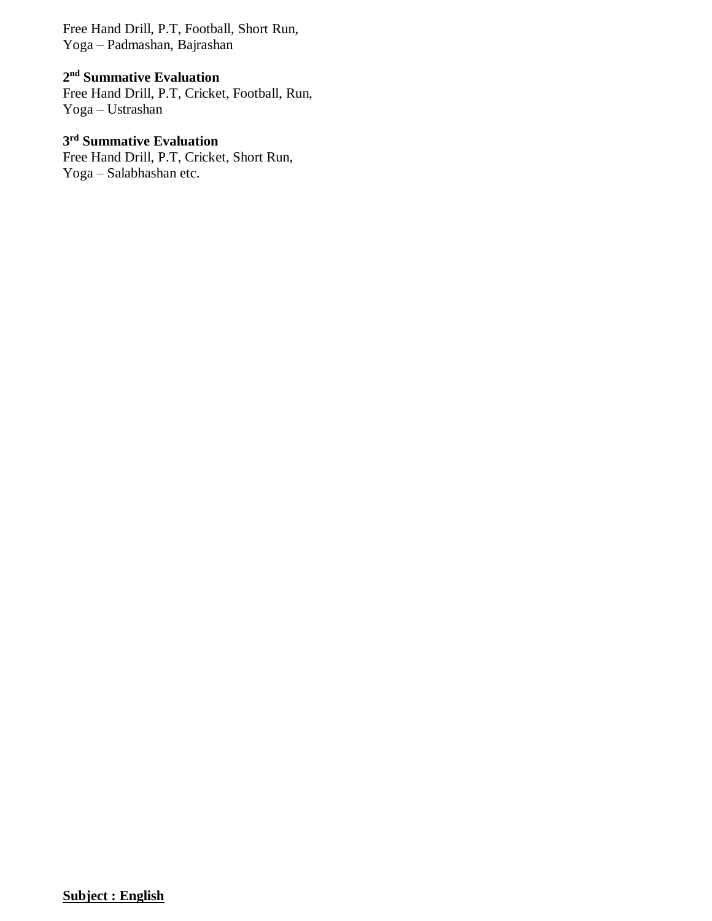Free Hand Drill, P.T, Football, Short Run, Yoga – Padmashan, Bajrashan

## **2 nd Summative Evaluation**

Free Hand Drill, P.T, Cricket, Football, Run, Yoga – Ustrashan

### **3 rd Summative Evaluation**

Free Hand Drill, P.T, Cricket, Short Run, Yoga – Salabhashan etc.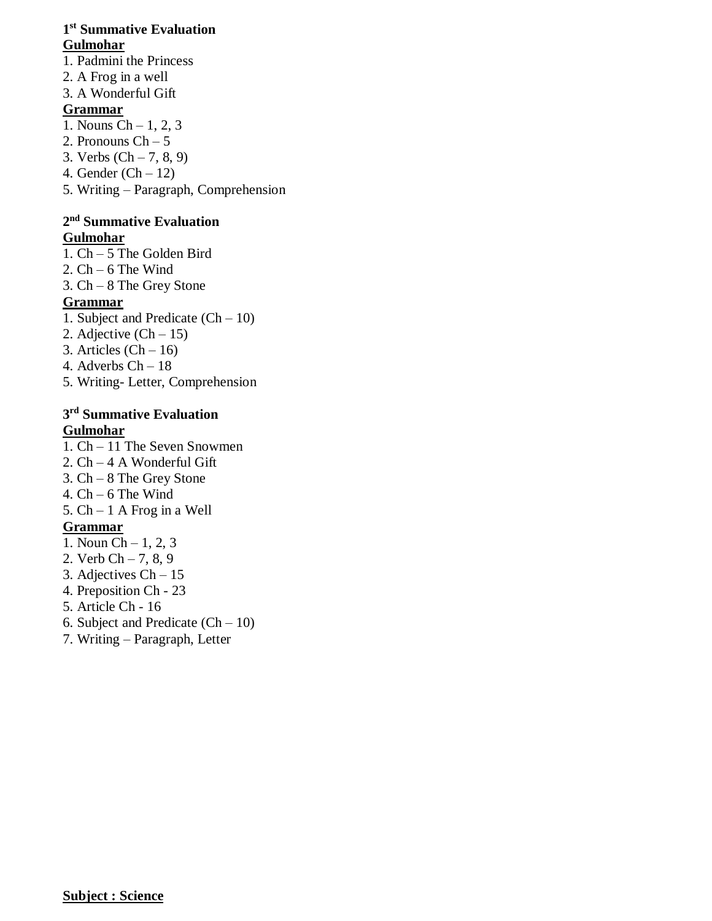### **1 st Summative Evaluation Gulmohar**

- 1. Padmini the Princess
- 2. A Frog in a well
- 3. A Wonderful Gift

## **Grammar**

- 1. Nouns Ch 1, 2, 3
- 2. Pronouns Ch 5
- 3. Verbs  $(Ch 7, 8, 9)$
- 4. Gender  $(Ch 12)$
- 5. Writing Paragraph, Comprehension

## **2 nd Summative Evaluation**

## **Gulmohar**

1.  $Ch - 5$  The Golden Bird 2.  $Ch - 6$  The Wind 3. Ch – 8 The Grey Stone **Grammar** 1. Subject and Predicate (Ch – 10) 2. Adjective  $(Ch - 15)$ 3. Articles  $(Ch - 16)$ 4. Adverbs Ch – 18 5. Writing- Letter, Comprehension

#### **3 rd Summative Evaluation Gulmohar**

- 1. Ch 11 The Seven Snowmen
- 2. Ch 4 A Wonderful Gift
- 3. Ch 8 The Grey Stone
- 4.  $Ch 6$  The Wind
- 5. Ch 1 A Frog in a Well

## **Grammar**

- 1. Noun Ch 1, 2, 3
- 2. Verb  $Ch 7, 8, 9$
- 3. Adjectives Ch 15
- 4. Preposition Ch 23
- 5. Article Ch 16
- 6. Subject and Predicate  $(Ch 10)$
- 7. Writing Paragraph, Letter